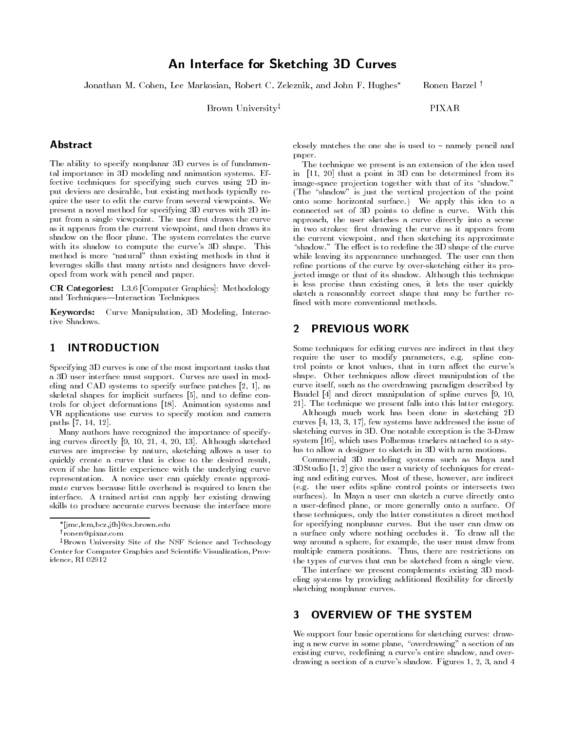# An Interface for Sketching 3D Curves

Jonathan M. Cohen, Lee Markosian, Robert C. Zeleznik, and John F. Hughes\* Ronen Barzel <sup>†</sup>

Brown University<sup>†</sup> PIXAR

## **Abstract**

The ability to specify nonplanar 3D curves is of fundamental importance in 3D modeling and animation systems. Effective techniques for specifying such curves using 2D input devices are desirable, but existing methods typically require the user to edit the curve from several viewpoints. We present a novel method for specifying 3D curves with 2D input from a single viewpoint. The user first draws the curve as it appears from the current viewpoint, and then draws its shadow on the floor plane. The system correlates the curve with its shadow to compute the curve's 3D shape. This method is more "natural" than existing methods in that it leverages skills that many artists and designers have developed from work with pencil and paper.

CR Categories: I.3.6 [Computer Graphics]: Methodology and Techniques-Interaction Techniques

Keywords: Curve Manipulation, 3D Modeling, Interactive Shadows.

### **INTRODUCTION** 1

Specifying 3D curves is one of the most important tasks that a 3D user interface must support. Curves are used in modeling and CAD systems to specify surface patches [2, 1], as skeletal shapes for implicit surfaces [5], and to define controls for ob ject deformations [18]. Animation systems and VR applications use curves to specify motion and camera paths [7, 14, 12].

Many authors have recognized the importance of specifying curves directly [9, 10, 21, 4, 20, 13]. Although sketched curves are imprecise by nature, sketching allows a user to quickly create a curve that is close to the desired result, even if she has little experience with the underlying curve representation. A novice user can quickly create approximate curves because little overhead is required to learn the interface. A trained artist can apply her existing drawing skills to produce accurate curves because the interface more closely matches the one she is used to { namely pencil and paper.

The technique we present is an extension of the idea used in [11, 20] that a point in 3D can be determined from its image-space projection together with that of its "shadow." (The "shadow" is just the vertical projection of the point onto some horizontal surface.) We apply this idea to a connected set of 3D points to define a curve. With this approach, the user sketches a curve directly into a scene in two strokes: first drawing the curve as it appears from the current viewpoint, and then sketching its approximate "shadow." The effect is to redefine the 3D shape of the curve while leaving its appearance unchanged. The user can then refine portions of the curve by over-sketching either its projected image or that of its shadow. Although this technique is less precise than existing ones, it lets the user quickly sketch a reasonably correct shape that may be further re fined with more conventional methods.

# 2 PREVIOUS WORK

Some techniques for editing curves are indirect in that they require the user to modify parameters, e.g. spline control points or knot values, that in turn affect the curve's shape. Other techniques allow direct manipulation of the curve itself, such as the overdrawing paradigm described by Baudel [4] and direct manipulation of spline curves [9, 10, 21]. The technique we present falls into this latter category.

Although much work has been done in sketching 2D curves [4, 13, 3, 17], few systems have addressed the issue of sketching curves in 3D. One notable exception is the 3-Draw system [16], which uses Polhemus trackers attached to a stylus to allow a designer to sketch in 3D with arm motions.

Commercial 3D modeling systems such as Maya and 3DStudio [1, 2] give the user a variety of techniques for creating and editing curves. Most of these, however, are indirect (e.g. the user edits spline control points or intersects two surfaces). In Maya a user can sketch a curve directly onto a user-defined plane, or more generally onto a surface. Of these techniques, only the latter constitutes a direct method for specifying nonplanar curves. But the user can draw on a surface only where nothing occludes it. To draw all the way around a sphere, for example, the user must draw from multiple camera positions. Thus, there are restrictions on the types of curves that can be sketched from a single view.

The interface we present complements existing 3D modeling systems by providing additional flexibility for directly sketching nonplanar curves.

We support four basic operations for sketching curves: drawing a new curve in some plane, "overdrawing" a section of an existing curve, redefining a curve's entire shadow, and overdrawing a section of a curve's shadow. Figures 1, 2, 3, and 4

[jmc,lem,bcz,jfh]@cs.brown.edu

<sup>y</sup> ronen@pixar.com

<sup>&</sup>lt;sup>‡</sup>Brown University Site of the NSF Science and Technology Center for Computer Graphics and Scientic Visualization, Providence, RI 02912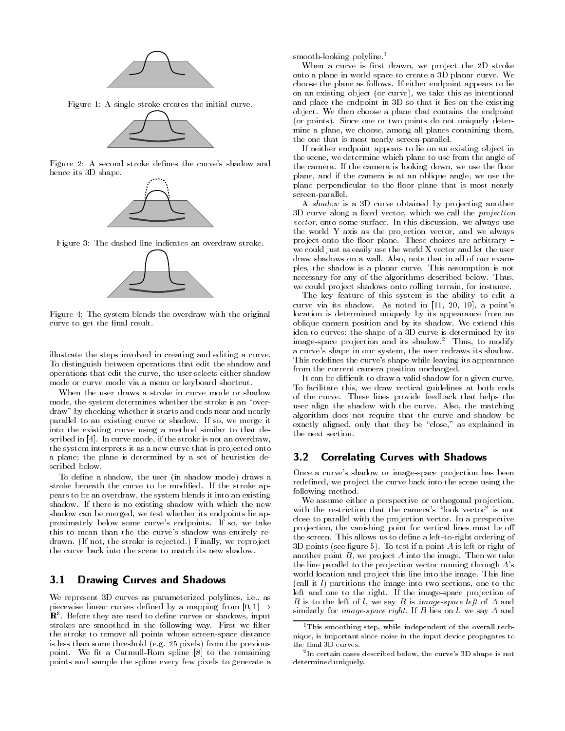

Figure 1: A single stroke creates the initial curve.



Figure 2: A second stroke defines the curve's shadow and hence its 3D shape.



Figure 3: The dashed line indicates an overdraw stroke.



Figure 4: The system blends the overdraw with the original curve to get the final result.

illustrate the steps involved in creating and editing a curve. To distinguish between operations that edit the shadow and operations that edit the curve, the user selects either shadow mode or curve mode via a menu or keyboard shortcut.

When the user draws a stroke in curve mode or shadow mode, the system determines whether the stroke is an "overdraw" by checking whether it starts and ends near and nearly parallel to an existing curve or shadow. If so, we merge it into the existing curve using a method similar to that described in [4]. In curve mode, if the stroke is not an overdraw, the system interprets it as a new curve that is projected onto a plane; the plane is determined by a set of heuristics described below.

To define a shadow, the user (in shadow mode) draws a stroke beneath the curve to be modified. If the stroke appears to be an overdraw, the system blends it into an existing shadow. If there is no existing shadow with which the new shadow can be merged, we test whether its endpoints lie approximately below some curve's endpoints. If so, we take this to mean than the the curve's shadow was entirely redrawn. (If not, the stroke is rejected.) Finally, we reproject the curve back into the scene to match its new shadow.

# 3.1 Drawing Curves and Shadows

We represent 3D curves as parameterized polylines, i.e., as piecewise linear curves defined by a mapping from [0, 1]  $\rightarrow$  $\, {\bf K} \,$  . Before they are used to define curves or shadows, input strokes are smoothed in the following way. First we filter the stroke to remove all points whose screen-space distance is less than some threshold (e.g. 25 pixels) from the previous point. We fit a Catmull-Rom spline [8] to the remaining points and sample the spline every few pixels to generate a

smooth-looking polyline.<sup>1</sup>

When a curve is first drawn, we project the  $2D$  stroke onto a plane in world space to create a 3D planar curve. We choose the plane as follows. If either endpoint appears to lie on an existing ob ject (or curve), we take this as intentional and place the endpoint in 3D so that it lies on the existing ob ject. We then choose a plane that contains the endpoint (or points). Since one or two points do not uniquely determine a plane, we choose, among all planes containing them, the one that is most nearly screen-parallel.

If neither endpoint appears to lie on an existing ob ject in the scene, we determine which plane to use from the angle of the camera. If the camera is looking down, we use the floor plane, and if the camera is at an oblique angle, we use the plane perpendicular to the floor plane that is most nearly screen-parallel.

A  $shadow$  is a 3D curve obtained by projecting another  $3D$  curve along a fixed vector, which we call the *projection* vector, onto some surface. In this discussion, we always use the world Y axis as the projection vector, and we always project onto the floor plane. These choices are arbitrary we could just as easily use the world X vector and let the user draw shadows on a wall. Also, note that in all of our examples, the shadow is a planar curve. This assumption is not necessary for any of the algorithms described below. Thus, we could project shadows onto rolling terrain, for instance.

The key feature of this system is the ability to edit a curve via its shadow. As noted in [11, 20, 19], a point's location is determined uniquely by its appearance from an oblique camera position and by its shadow. We extend this idea to curves: the shape of a 3D curve is determined by its image-space projection and its shadow.<sup>2</sup> Thus, to modify a curve's shape in our system, the user redraws its shadow. This redefines the curve's shape while leaving its appearance from the current camera position unchanged.

It can be difficult to draw a valid shadow for a given curve. To facilitate this, we draw vertical guidelines at both ends of the curve. These lines provide feedback that helps the user align the shadow with the curve. Also, the matching algorithm does not require that the curve and shadow be exactly aligned, only that they be "close," as explained in the next section.

# 3.2 Correlating Curves with Shadows

Once a curve's shadow or image-space projection has been redefined, we project the curve back into the scene using the following method.

We assume either a perspective or orthogonal projection, with the restriction that the camera's "look vector" is not close to parallel with the projection vector. In a perspective projection, the vanishing point for vertical lines must be off the screen. This allows us to define a left-to-right ordering of 3D points (see figure 5). To test if a point  $A$  is left or right of another point  $B$ , we project  $A$  into the image. Then we take the line parallel to the projection vector running through  $A$ 's world location and project this line into the image. This line (call it l) partitions the image into two sections, one to the left and one to the right. If the image-space projection of B is to the left of l, we say B is image-space left of A and similarly for *image-space right*. If B lies on l, we say A and

<sup>&</sup>lt;sup>1</sup>This smoothing step, while independent of the overall technique, is important since noise in the input device propagates tothe final 3D curves.

<sup>2</sup> In certain cases described below, the curve's 3D shape is notdetermined uniquely.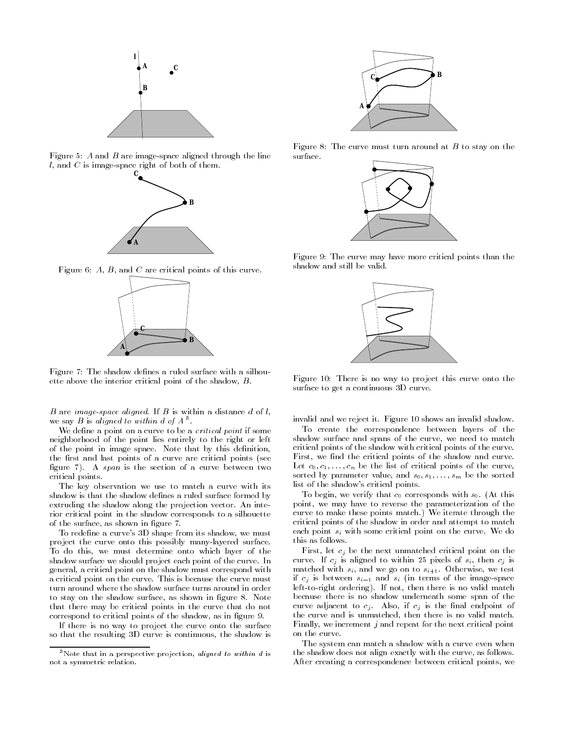

Figure 5: A and B are image-space aligned through the line l, and  $C$  is image-space right of both of them.



Figure 6:  $A$ ,  $B$ , and  $C$  are critical points of this curve.



Figure 7: The shadow defines a ruled surface with a silhouette above the interior critical point of the shadow, B.

B are *image-space aligned*. If B is within a distance d of l, we say  $B$  is aligned to within a of  $A$   $\bar{ }$  .

We define a point on a curve to be a *critical point* if some neighborhood of the point lies entirely to the right or left of the point in image space. Note that by this definition, the first and last points of a curve are critical points (see figure 7). A span is the section of a curve between two critical points.

The key observation we use to match a curve with its shadow is that the shadow defines a ruled surface formed by extruding the shadow along the projection vector. An interior critical point in the shadow corresponds to a silhouette of the surface, as shown in figure 7.

To redefine a curve's 3D shape from its shadow, we must project the curve onto this possibly many-layered surface. To do this, we must determine onto which layer of the shadow surface we should project each point of the curve. In general, a critical point on the shadow must correspond with a critical point on the curve. This is because the curve must turn around where the shadow surface turns around in order to stay on the shadow surface, as shown in figure 8. Note that there may be critical points in the curve that do not correspond to critical points of the shadow, as in figure 9.

If there is no way to project the curve onto the surface so that the resulting 3D curve is continuous, the shadow is



Figure 8: The curve must turn around at  $B$  to stay on the surface.



Figure 9: The curve may have more critical points than the shadow and still be valid.



Figure 10: There is no way to project this curve onto the surface to get a continuous 3D curve.

invalid and we reject it. Figure 10 shows an invalid shadow.

To create the correspondence between layers of the shadow surface and spans of the curve, we need to match critical points of the shadow with critical points of the curve. First, we find the critical points of the shadow and curve. Let  $c_0, c_1, \ldots, c_n$  be the list of critical points of the curve, sorted by parameter value, and  $s_0, s_1, \ldots, s_m$  be the sorted list of the shadow's critical points.

To begin, we verify that  $c_0$  corresponds with  $s_0$ . (At this point, we may have to reverse the parameterization of the curve to make these points match.) We iterate through the critical points of the shadow in order and attempt to match each point  $s_i$  with some critical point on the curve. We do this as follows.

First, let  $c_j$  be the next unmatched critical point on the curve. If  $c_i$  is aligned to within 25 pixels of  $s_i$ , then  $c_j$  is matched with  $s_i$ , and we go on to  $s_{i+1}$ . Otherwise, we test if  $c_j$  is between  $s_{i-1}$  and  $s_i$  (in terms of the image-space left-to-right ordering). If not, then there is no valid match because there is no shadow underneath some span of the curve adjacent to  $c_j$ . Also, if  $c_j$  is the final endpoint of the curve and is unmatched, then there is no valid match. Finally, we increment  $j$  and repeat for the next critical point on the curve.

The system can match a shadow with a curve even when the shadow does not align exactly with the curve, as follows. After creating a correspondence between critical points, we

 $\overline{\ }$  in the that in a perspective protection, *aligned to within a* is not a symmetric relation.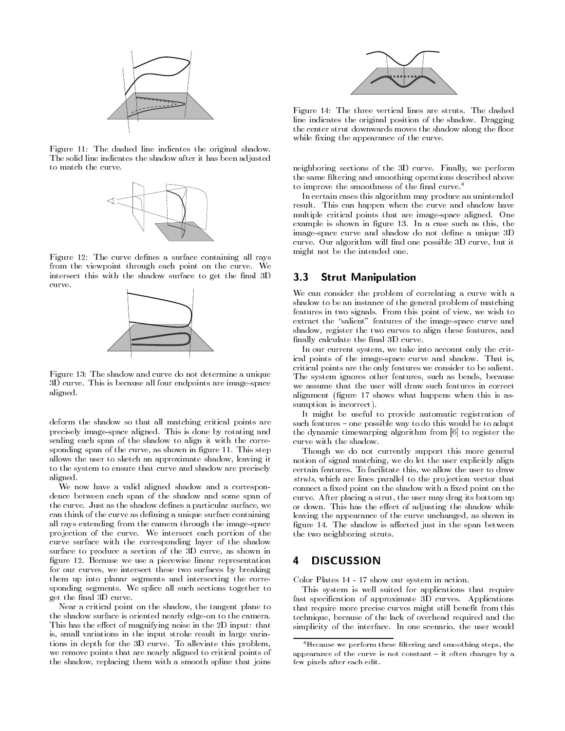

Figure 11: The dashed line indicates the original shadow. The solid line indicates the shadow after it has been adjusted to match the curve.



Figure 12: The curve defines a surface containing all rays from the viewpoint through each point on the curve. We intersect this with the shadow surface to get the final 3D curve.



Figure 13: The shadow and curve do not determine a unique 3D curve. This is because all four endpoints are image-space aligned.

deform the shadow so that all matching critical points are precisely image-space aligned. This is done by rotating and scaling each span of the shadow to align it with the corresponding span of the curve, as shown in figure 11. This step allows the user to sketch an approximate shadow, leaving it to the system to ensure that curve and shadow are precisely aligned.

We now have a valid aligned shadow and a correspondence between each span of the shadow and some span of the curve. Just as the shadow defines a particular surface, we can think of the curve as defining a unique surface containing all rays extending from the camera through the image-space projection of the curve. We intersect each portion of the curve surface with the corresponding layer of the shadow surface to produce a section of the 3D curve, as shown in figure 12. Because we use a piecewise linear representation for our curves, we intersect these two surfaces by breaking them up into planar segments and intersecting the corresponding segments. We splice all such sections together to get the final 3D curve.

Near a critical point on the shadow, the tangent plane to the shadow surface is oriented nearly edge-on to the camera. This has the effect of magnifying noise in the 2D input: that is, small variations in the input stroke result in large variations in depth for the 3D curve. To alleviate this problem, we remove points that are nearly aligned to critical points of the shadow, replacing them with a smooth spline that joins



Figure 14: The three vertical lines are struts. The dashed line indicates the original position of the shadow. Dragging the center strut downwards moves the shadow along the floor while fixing the appearance of the curve.

neighboring sections of the 3D curve. Finally, we perform the same filtering and smoothing operations described above to improve the smoothness of the final curve.<sup>4</sup>

In certain cases this algorithm may produce an unintended result. This can happen when the curve and shadow have multiple critical points that are image-space aligned. One example is shown in figure 13. In a case such as this, the image-space curve and shadow do not define a unique 3D curve. Our algorithm will find one possible 3D curve, but it might not be the intended one.

### 3.3 Strut Manipulation

We can consider the problem of correlating a curve with a shadow to be an instance of the general problem of matching features in two signals. From this point of view, we wish to extract the "salient" features of the image-space curve and shadow, register the two curves to align these features, and finally calculate the final  $3D$  curve.

In our current system, we take into account only the critical points of the image-space curve and shadow. That is, critical points are the only features we consider to be salient. The system ignores other features, such as bends, because we assume that the user will draw such features in correct alignment (figure 17 shows what happens when this is assumption is incorrect).

It might be useful to provide automatic registration of such features – one possible way to do this would be to adapt the dynamic timewarping algorithm from [6] to register the curve with the shadow.

Though we do not currently support this more general notion of signal matching, we do let the user explicitly align certain features. To facilitate this, we allow the user to draw struts, which are lines parallel to the projection vector that connect a fixed point on the shadow with a fixed point on the curve. After placing a strut, the user may drag its bottom up or down. This has the effect of adjusting the shadow while leaving the appearance of the curve unchanged, as shown in figure 14. The shadow is affected just in the span between the two neighboring struts.

#### $\overline{4}$ **DISCUSSION**

Color Plates 14 - 17 show our system in action.

This system is well suited for applications that require fast specification of approximate 3D curves. Applications that require more precise curves might still benefit from this technique, because of the lack of overhead required and the simplicity of the interface. In one scenario, the user would

<sup>&</sup>lt;sup>4</sup>Because we perform these filtering and smoothing steps, the appearance of the curve is not constant  $-$  it often changes by a few pixels after each edit.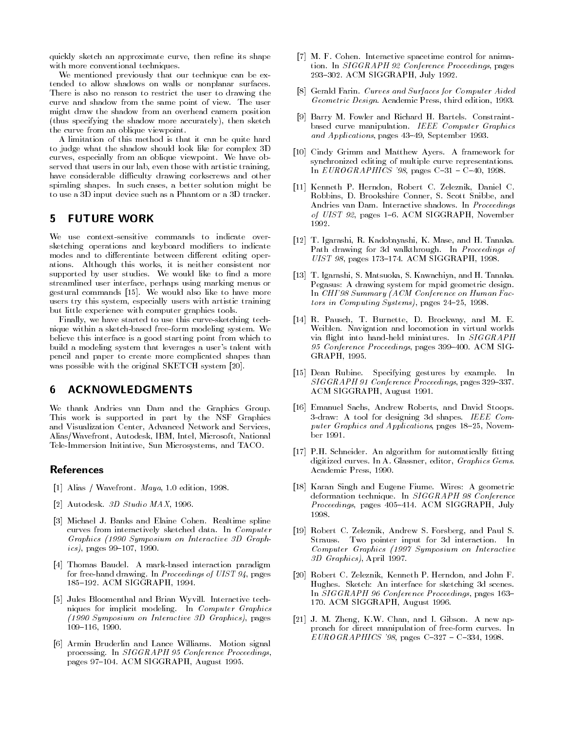quickly sketch an approximate curve, then refine its shape with more conventional techniques.

We mentioned previously that our technique can be extended to allow shadows on walls or nonplanar surfaces. There is also no reason to restrict the user to drawing the curve and shadow from the same point of view. The user might draw the shadow from an overhead camera position (thus specifying the shadow more accurately), then sketch the curve from an oblique viewpoint.

A limitation of this method is that it can be quite hard to judge what the shadow should look like for complex 3D curves, especially from an oblique viewpoint. We have observed that users in our lab, even those with artistic training, have considerable difficulty drawing corkscrews and other spiraling shapes. In such cases, a better solution might be to use a 3D input device such as a Phantom or a 3D tracker.

#### 5 **FUTURE WORK**

We use context-sensitive commands to indicate oversketching operations and keyboard modifiers to indicate modes and to differentiate between different editing operations. Although this works, it is neither consistent nor supported by user studies. We would like to find a more streamlined user interface, perhaps using marking menus or gestural commands [15]. We would also like to have more users try this system, especially users with artistic training but little experience with computer graphics tools.

Finally, we have started to use this curve-sketching technique within a sketch-based free-form modeling system. We believe this interface is a good starting point from which to build a modeling system that leverages a user's talent with pencil and paper to create more complicated shapes than was possible with the original SKETCH system [20].

# 6 ACKNOWLEDGMENTS

We thank Andries van Dam and the Graphics Group. This work is supported in part by the NSF Graphics and Visualization Center, Advanced Network and Services, Alias/Wavefront, Autodesk, IBM, Intel, Microsoft, National Tele-Immersion Initiative, Sun Microsystems, and TACO.

### References

- [1] Alias / Wavefront. Maya, 1.0 edition, 1998.
- [2] Autodesk. 3D Studio MAX, 1996.
- [3] Michael J. Banks and Elaine Cohen. Realtime spline curves from interactively sketched data. In Computer Graphics (1990 Symposium on Interactive 3D Graph $ics)$ , pages 99-107, 1990.
- [4] Thomas Baudel. A mark-based interaction paradigm for free-hand drawing. In Proceedings of UIST 94, pages 185-192. ACM SIGGRAPH, 1994.
- [5] Jules Bloomenthal and Brian Wyvill. Interactive techniques for implicit modeling. In Computer Graphics (1990 Symposium on Interactive 3D Graphics), pages 109-116, 1990.
- [6] Armin Bruderlin and Lance Williams. Motion signal processing. In SIGGRAPH 95 Conference Proceedings, pages 97{104. ACM SIGGRAPH, August 1995.
- [7] M. F. Cohen. Interactive spacetime control for animation. In SIGGRAPH 92 Conference Proceedings, pages 293-302. ACM SIGGRAPH, July 1992.
- [8] Gerald Farin. Curves and Surfaces for Computer Aided Geometric Design. Academic Press, third edition, 1993.
- [9] Barry M. Fowler and Richard H. Bartels. Constraintbased curve manipulation. IEEE Computer Graphics and Applications, pages 43-49, September 1993.
- [10] Cindy Grimm and Matthew Ayers. A framework for synchronized editing of multiple curve representations. In  $EUROGRAPHICS$  '98, pages C-31 - C-40, 1998.
- [11] Kenneth P. Herndon, Robert C. Zeleznik, Daniel C. Robbins, D. Brookshire Conner, S. Scott Snibbe, and Andries van Dam. Interactive shadows. In Proceedings of UIST 92, pages 1–6. ACM SIGGRAPH, November 1992.
- [12] T. Igarashi, R. Kadobayashi, K. Mase, and H. Tanaka. Path drawing for 3d walkthrough. In Proceedings of UIST 98, pages 173-174. ACM SIGGRAPH, 1998.
- [13] T. Igarashi, S. Matsuoka, S. Kawachiya, and H. Tanaka. Pegasus: A drawing system for rapid geometric design. In CHI'98 Summary (ACM Conference on Human Factors in Computing Systems), pages  $24-25$ , 1998.
- [14] R. Pausch, T. Burnette, D. Brockway, and M. E. Weiblen. Navigation and locomotion in virtual worlds via flight into hand-held miniatures. In SIGGRAPH 95 Conference Proceedings, pages 399-400. ACM SIG-GRAPH, 1995.
- [15] Dean Rubine. Specifying gestures by example. In SIGGRAPH 91 Conference Proceedings, pages 329-337. ACM SIGGRAPH, August 1991.
- [16] Emanuel Sachs, Andrew Roberts, and David Stoops. 3-draw: A tool for designing 3d shapes. IEEE Computer Graphics and Applications, pages  $18-25$ , November 1991.
- [17] P.H. Schneider. An algorithm for automatically fitting digitized curves. In A. Glassner, editor, Graphics Gems. Academic Press, 1990.
- [18] Karan Singh and Eugene Fiume. Wires: A geometric deformation technique. In SIGGRAPH 98 Conference Proceedings, pages 405-414. ACM SIGGRAPH, July 1998
- [19] Robert C. Zeleznik, Andrew S. Forsberg, and Paul S. Strauss. Two pointer input for 3d interaction. In Computer Graphics (1997 Symposium on Interactive 3D Graphics), April 1997.
- [20] Robert C. Zeleznik, Kenneth P. Herndon, and John F. Hughes. Sketch: An interface for sketching 3d scenes. In SIGGRAPH 96 Conference Proceedings, pages 163-170. ACM SIGGRAPH, August 1996.
- [21] J. M. Zheng, K.W. Chan, and I. Gibson. A new approach for direct manipulation of free-form curves. In  $EUROGRAPHICS$  '98, pages C-327 - C-334, 1998.